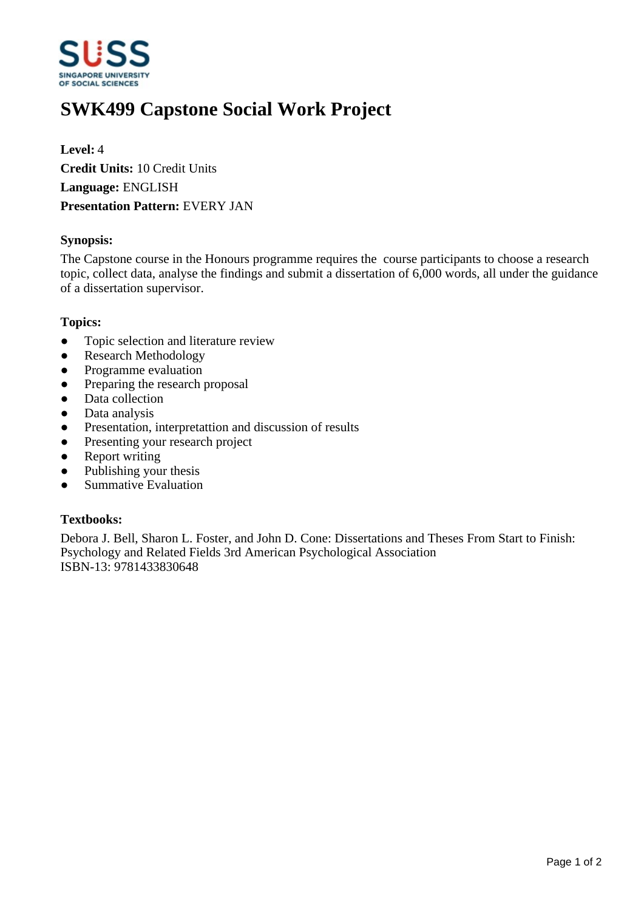

# **SWK499 Capstone Social Work Project**

**Level:** 4 **Credit Units:** 10 Credit Units **Language:** ENGLISH **Presentation Pattern:** EVERY JAN

# **Synopsis:**

The Capstone course in the Honours programme requires the course participants to choose a research topic, collect data, analyse the findings and submit a dissertation of 6,000 words, all under the guidance of a dissertation supervisor.

#### **Topics:**

- Topic selection and literature review
- Research Methodology
- Programme evaluation
- Preparing the research proposal
- Data collection
- Data analysis
- Presentation, interpretattion and discussion of results
- Presenting your research project
- Report writing
- $\bullet$  Publishing your thesis
- Summative Evaluation

# **Textbooks:**

Debora J. Bell, Sharon L. Foster, and John D. Cone: Dissertations and Theses From Start to Finish: Psychology and Related Fields 3rd American Psychological Association ISBN-13: 9781433830648